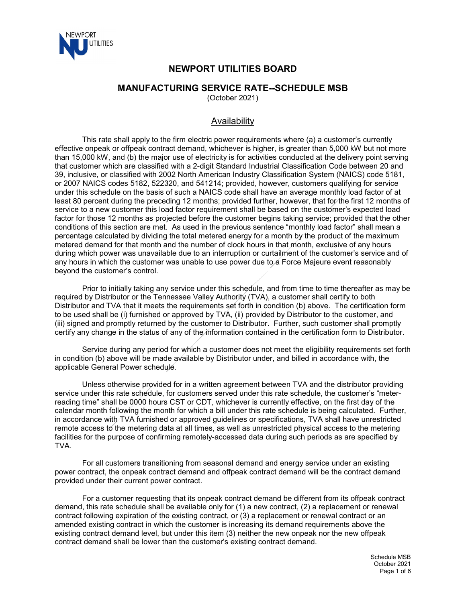

# **NEWPORT UTILITIES BOARD**

### **MANUFACTURING SERVICE RATE--SCHEDULE MSB**

(October 2021)

## Availability

This rate shall apply to the firm electric power requirements where (a) a customer's currently effective onpeak or offpeak contract demand, whichever is higher, is greater than 5,000 kW but not more than 15,000 kW, and (b) the major use of electricity is for activities conducted at the delivery point serving that customer which are classified with a 2-digit Standard Industrial Classification Code between 20 and 39, inclusive, or classified with 2002 North American Industry Classification System (NAICS) code 5181, or 2007 NAICS codes 5182, 522320, and 541214; provided, however, customers qualifying for service under this schedule on the basis of such a NAICS code shall have an average monthly load factor of at least 80 percent during the preceding 12 months; provided further, however, that for the first 12 months of service to a new customer this load factor requirement shall be based on the customer's expected load factor for those 12 months as projected before the customer begins taking service; provided that the other conditions of this section are met. As used in the previous sentence "monthly load factor" shall mean a percentage calculated by dividing the total metered energy for a month by the product of the maximum metered demand for that month and the number of clock hours in that month, exclusive of any hours during which power was unavailable due to an interruption or curtailment of the customer's service and of any hours in which the customer was unable to use power due to a Force Majeure event reasonably beyond the customer's control.

Prior to initially taking any service under this schedule, and from time to time thereafter as may be required by Distributor or the Tennessee Valley Authority (TVA), a customer shall certify to both Distributor and TVA that it meets the requirements set forth in condition (b) above. The certification form to be used shall be (i) furnished or approved by TVA, (ii) provided by Distributor to the customer, and (iii) signed and promptly returned by the customer to Distributor. Further, such customer shall promptly certify any change in the status of any of the information contained in the certification form to Distributor.

Service during any period for which a customer does not meet the eligibility requirements set forth in condition (b) above will be made available by Distributor under, and billed in accordance with, the applicable General Power schedule.

Unless otherwise provided for in a written agreement between TVA and the distributor providing service under this rate schedule, for customers served under this rate schedule, the customer's "meterreading time" shall be 0000 hours CST or CDT, whichever is currently effective, on the first day of the calendar month following the month for which a bill under this rate schedule is being calculated. Further, in accordance with TVA furnished or approved guidelines or specifications, TVA shall have unrestricted remote access to the metering data at all times, as well as unrestricted physical access to the metering facilities for the purpose of confirming remotely-accessed data during such periods as are specified by TVA.

For all customers transitioning from seasonal demand and energy service under an existing power contract, the onpeak contract demand and offpeak contract demand will be the contract demand provided under their current power contract.

For a customer requesting that its onpeak contract demand be different from its offpeak contract demand, this rate schedule shall be available only for (1) a new contract, (2) a replacement or renewal contract following expiration of the existing contract, or (3) a replacement or renewal contract or an amended existing contract in which the customer is increasing its demand requirements above the existing contract demand level, but under this item (3) neither the new onpeak nor the new offpeak contract demand shall be lower than the customer's existing contract demand.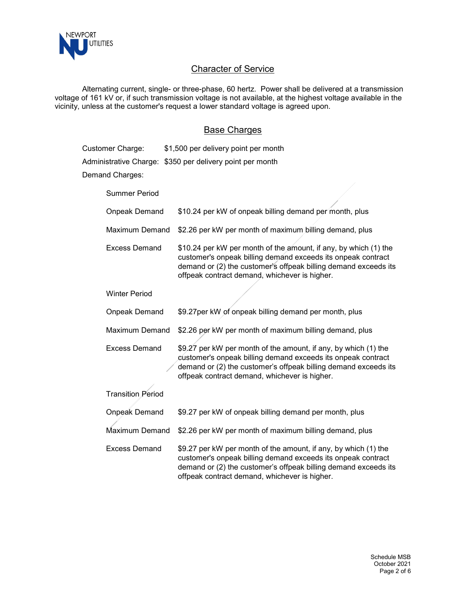

# **Character of Service**

Alternating current, single- or three-phase, 60 hertz. Power shall be delivered at a transmission voltage of 161 kV or, if such transmission voltage is not available, at the highest voltage available in the vicinity, unless at the customer's request a lower standard voltage is agreed upon.

#### Base Charges

| Customer Charge:         | \$1,500 per delivery point per month                                                                                                                                                                                                                 |
|--------------------------|------------------------------------------------------------------------------------------------------------------------------------------------------------------------------------------------------------------------------------------------------|
|                          | Administrative Charge: \$350 per delivery point per month                                                                                                                                                                                            |
| Demand Charges:          |                                                                                                                                                                                                                                                      |
| <b>Summer Period</b>     |                                                                                                                                                                                                                                                      |
| <b>Onpeak Demand</b>     | \$10.24 per kW of onpeak billing demand per month, plus                                                                                                                                                                                              |
| <b>Maximum Demand</b>    | \$2.26 per kW per month of maximum billing demand, plus                                                                                                                                                                                              |
| <b>Excess Demand</b>     | \$10.24 per kW per month of the amount, if any, by which (1) the<br>customer's onpeak billing demand exceeds its onpeak contract<br>demand or (2) the customer's offpeak billing demand exceeds its<br>offpeak contract demand, whichever is higher. |
| <b>Winter Period</b>     |                                                                                                                                                                                                                                                      |
| Onpeak Demand            | \$9.27 per kW of onpeak billing demand per month, plus                                                                                                                                                                                               |
| <b>Maximum Demand</b>    | \$2.26 per kW per month of maximum billing demand, plus                                                                                                                                                                                              |
| <b>Excess Demand</b>     | \$9.27 per kW per month of the amount, if any, by which (1) the<br>customer's onpeak billing demand exceeds its onpeak contract<br>demand or (2) the customer's offpeak billing demand exceeds its<br>offpeak contract demand, whichever is higher.  |
| <b>Transition Period</b> |                                                                                                                                                                                                                                                      |
| <b>Onpeak Demand</b>     | \$9.27 per kW of onpeak billing demand per month, plus                                                                                                                                                                                               |
| Maximum Demand           | \$2.26 per kW per month of maximum billing demand, plus                                                                                                                                                                                              |
| <b>Excess Demand</b>     | \$9.27 per kW per month of the amount, if any, by which (1) the<br>customer's onpeak billing demand exceeds its onpeak contract<br>demand or (2) the customer's offpeak billing demand exceeds its<br>offpeak contract demand, whichever is higher.  |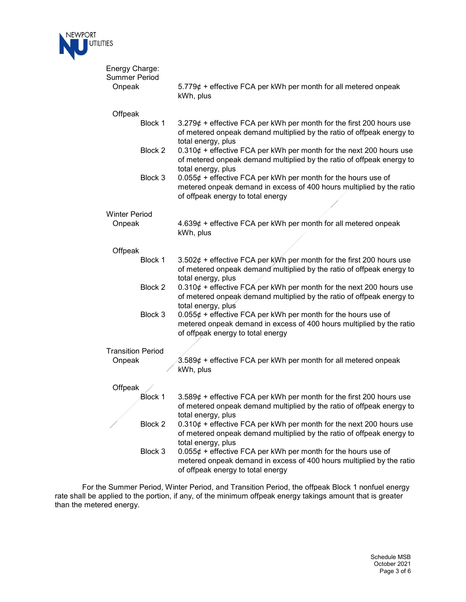

| Energy Charge:<br><b>Summer Period</b> |                                                                                                                                                                              |
|----------------------------------------|------------------------------------------------------------------------------------------------------------------------------------------------------------------------------|
| Onpeak                                 | $5.779¢$ + effective FCA per kWh per month for all metered onpeak<br>kWh, plus                                                                                               |
| Offpeak                                |                                                                                                                                                                              |
| Block 1                                | $3.279\phi$ + effective FCA per kWh per month for the first 200 hours use<br>of metered onpeak demand multiplied by the ratio of offpeak energy to<br>total energy, plus     |
| Block 2                                | $0.310\phi$ + effective FCA per kWh per month for the next 200 hours use<br>of metered onpeak demand multiplied by the ratio of offpeak energy to<br>total energy, plus      |
| Block 3                                | $0.055¢ +$ effective FCA per kWh per month for the hours use of<br>metered onpeak demand in excess of 400 hours multiplied by the ratio<br>of offpeak energy to total energy |
| <b>Winter Period</b>                   |                                                                                                                                                                              |
| Onpeak                                 | $4.639¢ +$ effective FCA per kWh per month for all metered onpeak<br>kWh, plus                                                                                               |
| Offpeak                                |                                                                                                                                                                              |
| Block 1                                | 3.502 $\phi$ + effective FCA per kWh per month for the first 200 hours use<br>of metered onpeak demand multiplied by the ratio of offpeak energy to<br>total energy, plus    |
| Block 2                                | $0.310\phi$ + effective FCA per kWh per month for the next 200 hours use<br>of metered onpeak demand multiplied by the ratio of offpeak energy to<br>total energy, plus      |
| Block 3                                | $0.055¢ +$ effective FCA per kWh per month for the hours use of<br>metered onpeak demand in excess of 400 hours multiplied by the ratio<br>of offpeak energy to total energy |
| <b>Transition Period</b>               |                                                                                                                                                                              |
| Onpeak                                 | $3.589¢ +$ effective FCA per kWh per month for all metered onpeak<br>kWh, plus                                                                                               |
| Offpeak                                |                                                                                                                                                                              |
| <b>Block 1</b>                         | 3.589 $\phi$ + effective FCA per kWh per month for the first 200 hours use<br>of metered onpeak demand multiplied by the ratio of offpeak energy to<br>total energy, plus    |
| Block 2                                | $0.310\phi$ + effective FCA per kWh per month for the next 200 hours use<br>of metered onpeak demand multiplied by the ratio of offpeak energy to<br>total energy, plus      |
| Block 3                                | $0.055¢ +$ effective FCA per kWh per month for the hours use of<br>metered onpeak demand in excess of 400 hours multiplied by the ratio<br>of offpeak energy to total energy |

For the Summer Period, Winter Period, and Transition Period, the offpeak Block 1 nonfuel energy rate shall be applied to the portion, if any, of the minimum offpeak energy takings amount that is greater than the metered energy.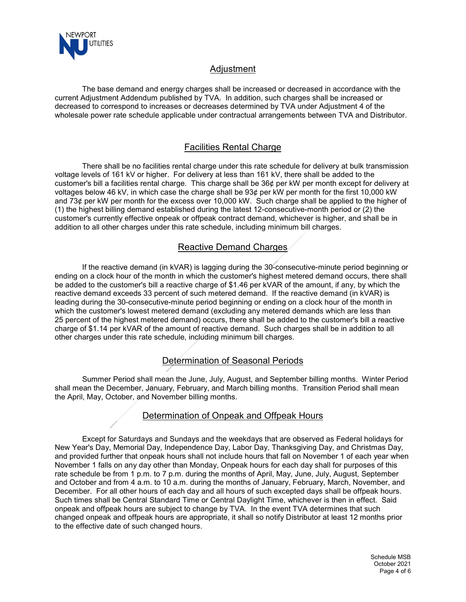

## Adjustment

The base demand and energy charges shall be increased or decreased in accordance with the current Adjustment Addendum published by TVA. In addition, such charges shall be increased or decreased to correspond to increases or decreases determined by TVA under Adjustment 4 of the wholesale power rate schedule applicable under contractual arrangements between TVA and Distributor.

## Facilities Rental Charge

There shall be no facilities rental charge under this rate schedule for delivery at bulk transmission voltage levels of 161 kV or higher. For delivery at less than 161 kV, there shall be added to the customer's bill a facilities rental charge. This charge shall be 36¢ per kW per month except for delivery at voltages below 46 kV, in which case the charge shall be 93¢ per kW per month for the first 10,000 kW and 73¢ per kW per month for the excess over 10,000 kW. Such charge shall be applied to the higher of (1) the highest billing demand established during the latest 12-consecutive-month period or (2) the customer's currently effective onpeak or offpeak contract demand, whichever is higher, and shall be in addition to all other charges under this rate schedule, including minimum bill charges.

# Reactive Demand Charges

If the reactive demand (in kVAR) is lagging during the 30-consecutive-minute period beginning or ending on a clock hour of the month in which the customer's highest metered demand occurs, there shall be added to the customer's bill a reactive charge of \$1.46 per kVAR of the amount, if any, by which the reactive demand exceeds 33 percent of such metered demand. If the reactive demand (in kVAR) is leading during the 30-consecutive-minute period beginning or ending on a clock hour of the month in which the customer's lowest metered demand (excluding any metered demands which are less than 25 percent of the highest metered demand) occurs, there shall be added to the customer's bill a reactive charge of \$1.14 per kVAR of the amount of reactive demand. Such charges shall be in addition to all other charges under this rate schedule, including minimum bill charges.

# Determination of Seasonal Periods

Summer Period shall mean the June, July, August, and September billing months. Winter Period shall mean the December, January, February, and March billing months. Transition Period shall mean the April, May, October, and November billing months.

#### Determination of Onpeak and Offpeak Hours

Except for Saturdays and Sundays and the weekdays that are observed as Federal holidays for New Year's Day, Memorial Day, Independence Day, Labor Day, Thanksgiving Day, and Christmas Day, and provided further that onpeak hours shall not include hours that fall on November 1 of each year when November 1 falls on any day other than Monday, Onpeak hours for each day shall for purposes of this rate schedule be from 1 p.m. to 7 p.m. during the months of April, May, June, July, August, September and October and from 4 a.m. to 10 a.m. during the months of January, February, March, November, and December. For all other hours of each day and all hours of such excepted days shall be offpeak hours. Such times shall be Central Standard Time or Central Daylight Time, whichever is then in effect. Said onpeak and offpeak hours are subject to change by TVA. In the event TVA determines that such changed onpeak and offpeak hours are appropriate, it shall so notify Distributor at least 12 months prior to the effective date of such changed hours.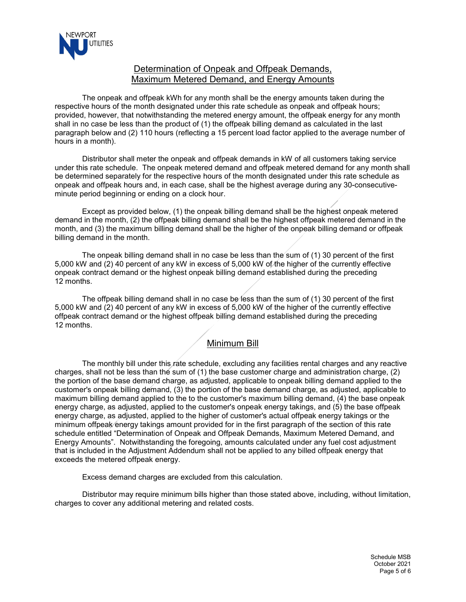

### Determination of Onpeak and Offpeak Demands, Maximum Metered Demand, and Energy Amounts

The onpeak and offpeak kWh for any month shall be the energy amounts taken during the respective hours of the month designated under this rate schedule as onpeak and offpeak hours; provided, however, that notwithstanding the metered energy amount, the offpeak energy for any month shall in no case be less than the product of (1) the offpeak billing demand as calculated in the last paragraph below and (2) 110 hours (reflecting a 15 percent load factor applied to the average number of hours in a month).

Distributor shall meter the onpeak and offpeak demands in kW of all customers taking service under this rate schedule. The onpeak metered demand and offpeak metered demand for any month shall be determined separately for the respective hours of the month designated under this rate schedule as onpeak and offpeak hours and, in each case, shall be the highest average during any 30-consecutiveminute period beginning or ending on a clock hour.

Except as provided below, (1) the onpeak billing demand shall be the highest onpeak metered demand in the month, (2) the offpeak billing demand shall be the highest offpeak metered demand in the month, and (3) the maximum billing demand shall be the higher of the onpeak billing demand or offpeak billing demand in the month.

The onpeak billing demand shall in no case be less than the sum of (1) 30 percent of the first 5,000 kW and (2) 40 percent of any kW in excess of 5,000 kW of the higher of the currently effective onpeak contract demand or the highest onpeak billing demand established during the preceding 12 months.

The offpeak billing demand shall in no case be less than the sum of (1) 30 percent of the first 5,000 kW and (2) 40 percent of any kW in excess of 5,000 kW of the higher of the currently effective offpeak contract demand or the highest offpeak billing demand established during the preceding 12 months.

#### Minimum Bill

The monthly bill under this rate schedule, excluding any facilities rental charges and any reactive charges, shall not be less than the sum of (1) the base customer charge and administration charge, (2) the portion of the base demand charge, as adjusted, applicable to onpeak billing demand applied to the customer's onpeak billing demand, (3) the portion of the base demand charge, as adjusted, applicable to maximum billing demand applied to the to the customer's maximum billing demand, (4) the base onpeak energy charge, as adjusted, applied to the customer's onpeak energy takings, and (5) the base offpeak energy charge, as adjusted, applied to the higher of customer's actual offpeak energy takings or the minimum offpeak energy takings amount provided for in the first paragraph of the section of this rate schedule entitled "Determination of Onpeak and Offpeak Demands, Maximum Metered Demand, and Energy Amounts". Notwithstanding the foregoing, amounts calculated under any fuel cost adjustment that is included in the Adjustment Addendum shall not be applied to any billed offpeak energy that exceeds the metered offpeak energy.

Excess demand charges are excluded from this calculation.

Distributor may require minimum bills higher than those stated above, including, without limitation, charges to cover any additional metering and related costs.